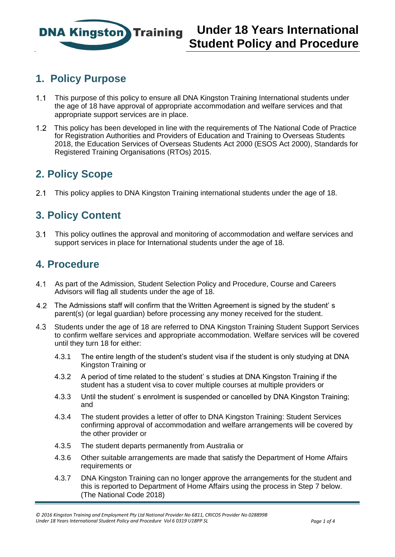

## **1. Policy Purpose**

- 1.1 This purpose of this policy to ensure all DNA Kingston Training International students under the age of 18 have approval of appropriate accommodation and welfare services and that appropriate support services are in place.
- This policy has been developed in line with the requirements of The National Code of Practice for Registration Authorities and Providers of Education and Training to Overseas Students 2018, the Education Services of Overseas Students Act 2000 (ESOS Act 2000), Standards for Registered Training Organisations (RTOs) 2015.

### **2. Policy Scope**

This policy applies to DNA Kingston Training international students under the age of 18.

## **3. Policy Content**

 This policy outlines the approval and monitoring of accommodation and welfare services and support services in place for International students under the age of 18.

### **4. Procedure**

- As part of the Admission, Student Selection Policy and Procedure, Course and Careers Advisors will flag all students under the age of 18.
- The Admissions staff will confirm that the Written Agreement is signed by the student' s parent(s) (or legal guardian) before processing any money received for the student.
- 4.3 Students under the age of 18 are referred to DNA Kingston Training Student Support Services to confirm welfare services and appropriate accommodation. Welfare services will be covered until they turn 18 for either:
	- 4.3.1 The entire length of the student's student visa if the student is only studying at DNA Kingston Training or
	- 4.3.2 A period of time related to the student' s studies at DNA Kingston Training if the student has a student visa to cover multiple courses at multiple providers or
	- 4.3.3 Until the student' s enrolment is suspended or cancelled by DNA Kingston Training; and
	- 4.3.4 The student provides a letter of offer to DNA Kingston Training: Student Services confirming approval of accommodation and welfare arrangements will be covered by the other provider or
	- 4.3.5 The student departs permanently from Australia or
	- 4.3.6 Other suitable arrangements are made that satisfy the Department of Home Affairs requirements or
	- 4.3.7 DNA Kingston Training can no longer approve the arrangements for the student and this is reported to Department of Home Affairs using the process in Step 7 below. (The National Code 2018)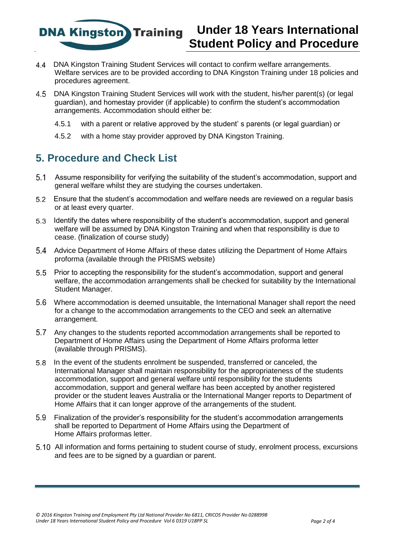**DNA Kingston** Training

# **Under 18 Years International Student Policy and Procedure**

- DNA Kingston Training Student Services will contact to confirm welfare arrangements. Welfare services are to be provided according to DNA Kingston Training under 18 policies and procedures agreement.
- DNA Kingston Training Student Services will work with the student, his/her parent(s) (or legal guardian), and homestay provider (if applicable) to confirm the student's accommodation arrangements. Accommodation should either be:
	- 4.5.1 with a parent or relative approved by the student' s parents (or legal guardian) or
	- 4.5.2 with a home stay provider approved by DNA Kingston Training.

#### **5. Procedure and Check List**

- Assume responsibility for verifying the suitability of the student's accommodation, support and general welfare whilst they are studying the courses undertaken.
- Ensure that the student's accommodation and welfare needs are reviewed on a regular basis or at least every quarter.
- Identify the dates where responsibility of the student's accommodation, support and general welfare will be assumed by DNA Kingston Training and when that responsibility is due to cease. (finalization of course study)
- Advice Department of Home Affairs of these dates utilizing the Department of Home Affairs proforma (available through the PRISMS website)
- Prior to accepting the responsibility for the student's accommodation, support and general welfare, the accommodation arrangements shall be checked for suitability by the International Student Manager.
- Where accommodation is deemed unsuitable, the International Manager shall report the need for a change to the accommodation arrangements to the CEO and seek an alternative arrangement.
- Any changes to the students reported accommodation arrangements shall be reported to Department of Home Affairs using the Department of Home Affairs proforma letter (available through PRISMS).
- In the event of the students enrolment be suspended, transferred or canceled, the International Manager shall maintain responsibility for the appropriateness of the students accommodation, support and general welfare until responsibility for the students accommodation, support and general welfare has been accepted by another registered provider or the student leaves Australia or the International Manger reports to Department of Home Affairs that it can longer approve of the arrangements of the student.
- Finalization of the provider's responsibility for the student's accommodation arrangements shall be reported to Department of Home Affairs using the Department of Home Affairs proformas letter.
- All information and forms pertaining to student course of study, enrolment process, excursions and fees are to be signed by a guardian or parent.